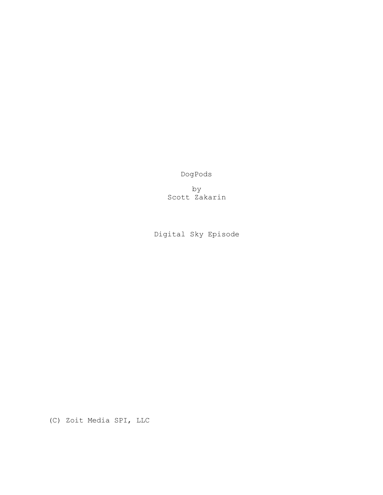DogPods

by Scott Zakarin

Digital Sky Episode

(C) Zoit Media SPI, LLC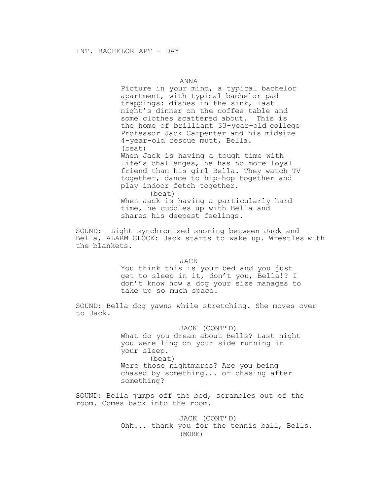ANNA

Picture in your mind, a typical bachelor apartment, with typical bachelor pad trappings: dishes in the sink, last night's dinner on the coffee table and some clothes scattered about. This is the home of brilliant 33-year-old college Professor Jack Carpenter and his midsize 4-year-old rescue mutt, Bella. (beat) When Jack is having a tough time with

life's challenges, he has no more loyal friend than his girl Bella. They watch TV together, dance to hip-hop together and play indoor fetch together.

(beat) When Jack is having a particularly hard time, he cuddles up with Bella and shares his deepest feelings.

SOUND: Light synchronized snoring between Jack and Bella, ALARM CLOCK: Jack starts to wake up. Wrestles with the blankets.

JACK

You think this is your bed and you just get to sleep in it, don't you, Bella!? I don't know how a dog your size manages to take up so much space.

SOUND: Bella dog yawns while stretching. She moves over to Jack.

JACK (CONT'D)

What do you dream about Bells? Last night you were ling on your side running in your sleep. (beat) Were those nightmares? Are you being chased by something... or chasing after something?

SOUND: Bella jumps off the bed, scrambles out of the room. Comes back into the room.

> JACK (CONT'D) Ohh... thank you for the tennis ball, Bells. (MORE)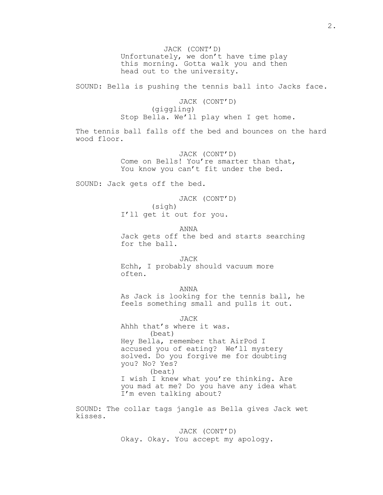JACK (CONT'D) Unfortunately, we don't have time play this morning. Gotta walk you and then head out to the university.

SOUND: Bella is pushing the tennis ball into Jacks face.

JACK (CONT'D) (giggling) Stop Bella. We'll play when I get home.

The tennis ball falls off the bed and bounces on the hard wood floor.

> JACK (CONT'D) Come on Bells! You're smarter than that, You know you can't fit under the bed.

SOUND: Jack gets off the bed.

JACK (CONT'D) (sigh) I'll get it out for you.

ANNA Jack gets off the bed and starts searching for the ball.

JACK Echh, I probably should vacuum more often.

ANNA

As Jack is looking for the tennis ball, he feels something small and pulls it out.

JACK

Ahhh that's where it was. (beat) Hey Bella, remember that AirPod I accused you of eating? We'll mystery solved. Do you forgive me for doubting you? No? Yes? (beat) I wish I knew what you're thinking. Are

you mad at me? Do you have any idea what I'm even talking about?

SOUND: The collar tags jangle as Bella gives Jack wet kisses.

> JACK (CONT'D) Okay. Okay. You accept my apology.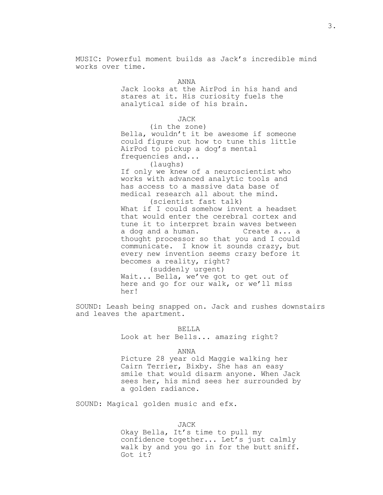MUSIC: Powerful moment builds as Jack's incredible mind works over time.

ANNA

Jack looks at the AirPod in his hand and stares at it. His curiosity fuels the analytical side of his brain.

JACK

(in the zone) Bella, wouldn't it be awesome if someone could figure out how to tune this little AirPod to pickup a dog's mental frequencies and...

(laughs)

If only we knew of a neuroscientist who works with advanced analytic tools and has access to a massive data base of medical research all about the mind.

(scientist fast talk) What if I could somehow invent a headset that would enter the cerebral cortex and tune it to interpret brain waves between a dog and a human. Create a... a thought processor so that you and I could communicate. I know it sounds crazy, but every new invention seems crazy before it becomes a reality, right?

(suddenly urgent) Wait... Bella, we've got to get out of here and go for our walk, or we'll miss her!

SOUND: Leash being snapped on. Jack and rushes downstairs and leaves the apartment.

> BELLA Look at her Bells... amazing right?

> > ANNA

Picture 28 year old Maggie walking her Cairn Terrier, Bixby. She has an easy smile that would disarm anyone. When Jack sees her, his mind sees her surrounded by a golden radiance.

SOUND: Magical golden music and efx.

JACK

Okay Bella, It's time to pull my confidence together... Let's just calmly walk by and you go in for the butt sniff. Got it?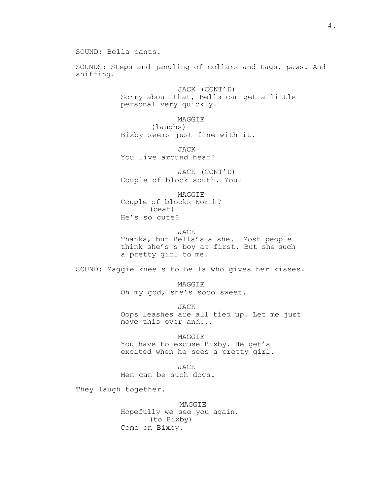SOUNDS: Steps and jangling of collars and tags, paws. And sniffing.

> JACK (CONT'D) Sorry about that, Bells can get a little personal very quickly.

MAGGIE (laughs) Bixby seems just fine with it.

JACK You live around hear?

JACK (CONT'D) Couple of block south. You?

MAGGIE Couple of blocks North? (beat) He's so cute?

JACK

Thanks, but Bella's a she. Most people think she's s boy at first. But she such a pretty girl to me.

SOUND: Maggie kneels to Bella who gives her kisses.

MAGGIE Oh my god, she's sooo sweet.

JACK Oops leashes are all tied up. Let me just move this over and...

MAGGIE You have to excuse Bixby. He get's excited when he sees a pretty girl.

JACK Men can be such dogs.

They laugh together.

MAGGIE Hopefully we see you again. (to Bixby) Come on Bixby.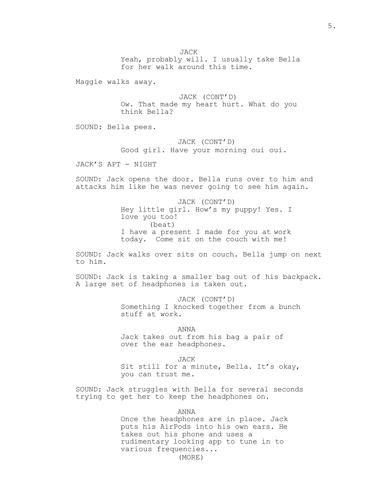JACK

Yeah, probably will. I usually take Bella for her walk around this time.

Maggie walks away.

JACK (CONT'D) Ow. That made my heart hurt. What do you think Bella?

SOUND: Bella pees.

# JACK (CONT'D)

Good girl. Have your morning oui oui.

JACK'S APT - NIGHT

SOUND: Jack opens the door. Bella runs over to him and attacks him like he was never going to see him again.

> JACK (CONT'D) Hey little girl. How's my puppy! Yes. I love you too! (beat) I have a present I made for you at work today. Come sit on the couch with me!

SOUND: Jack walks over sits on couch. Bella jump on next to him.

SOUND: Jack is taking a smaller bag out of his backpack. A large set of headphones is taken out.

> JACK (CONT'D) Something I knocked together from a bunch stuff at work.

ANNA Jack takes out from his bag a pair of over the ear headphones.

JACK Sit still for a minute, Bella. It's okay, you can trust me.

SOUND: Jack struggles with Bella for several seconds trying to get her to keep the headphones on.

ANNA

Once the headphones are in place. Jack puts his AirPods into his own ears. He takes out his phone and uses a rudimentary looking app to tune in to various frequencies... (MORE)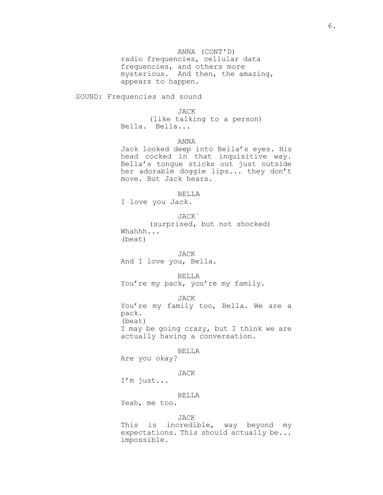ANNA (CONT'D) radio frequencies, cellular data frequencies, and others more mysterious. And then, the amazing, appears to happen.

SOUND: Frequencies and sound

JACK

(like talking to a person) Bella. Bella...

ANNA

Jack looked deep into Bella's eyes. His head cocked in that inquisitive way. Bella's tongue sticks out just outside her adorable doggie lips... they don't move. But Jack hears.

BELLA

I love you Jack.

JACK` (surprised, but not shocked) Whahhh... (beat)

JACK

And I love you, Bella.

BELLA

You're my pack, you're my family.

JACK

You're my family too, Bella. We are a pack. (beat)

I may be going crazy, but I think we are actually having a conversation.

BELLA

Are you okay?

## JACK

I'm just...

## BELLA

Yeah, me too.

### JACK

This is incredible, way beyond my expectations. This should actually be... impossible.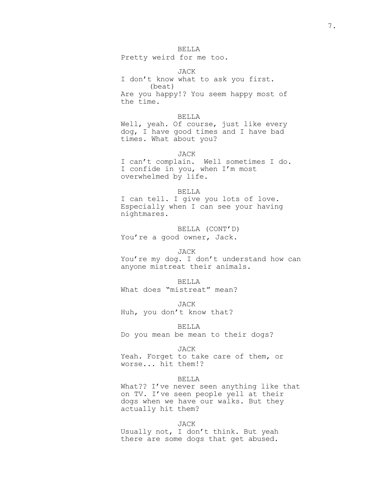## BELLA

Pretty weird for me too.

JACK I don't know what to ask you first. (beat) Are you happy!? You seem happy most of the time.

## BELLA

Well, yeah. Of course, just like every dog, I have good times and I have bad times. What about you?

JACK

I can't complain. Well sometimes I do. I confide in you, when I'm most overwhelmed by life.

## BELLA

I can tell. I give you lots of love. Especially when I can see your having nightmares.

BELLA (CONT'D)

You're a good owner, Jack.

### JACK

You're my dog. I don't understand how can anyone mistreat their animals.

### BELLA

What does "mistreat" mean?

JACK

Huh, you don't know that?

BELLA

Do you mean be mean to their dogs?

JACK

Yeah. Forget to take care of them, or worse... hit them!?

#### BELLA

What?? I've never seen anything like that on TV. I've seen people yell at their dogs when we have our walks. But they actually hit them?

#### JACK

Usually not, I don't think. But yeah there are some dogs that get abused.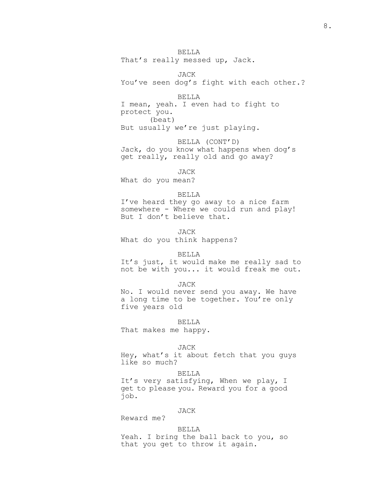BELLA That's really messed up, Jack.

JACK You've seen dog's fight with each other.?

BELLA I mean, yeah. I even had to fight to protect you. (beat) But usually we're just playing.

BELLA (CONT'D) Jack, do you know what happens when dog's get really, really old and go away?

JACK

What do you mean?

BELLA

I've heard they go away to a nice farm somewhere - Where we could run and play! But I don't believe that.

JACK What do you think happens?

BELLA

It's just, it would make me really sad to not be with you... it would freak me out.

JACK

No. I would never send you away. We have a long time to be together. You're only five years old

BELLA

That makes me happy.

JACK

Hey, what's it about fetch that you guys like so much?

BELLA

It's very satisfying, When we play, I get to please you. Reward you for a good job.

### JACK

Reward me?

## BELLA

Yeah. I bring the ball back to you, so that you get to throw it again.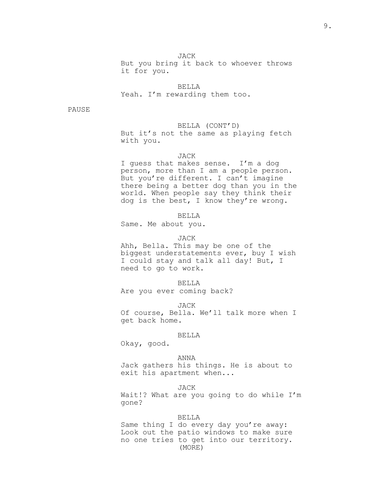JACK

But you bring it back to whoever throws it for you.

BELLA Yeah. I'm rewarding them too.

PAUSE

BELLA (CONT'D) But it's not the same as playing fetch with you.

## JACK

I guess that makes sense. I'm a dog person, more than I am a people person. But you're different. I can't imagine there being a better dog than you in the world. When people say they think their dog is the best, I know they're wrong.

### BELLA

Same. Me about you.

### JACK

Ahh, Bella. This may be one of the biggest understatements ever, buy I wish I could stay and talk all day! But, I need to go to work.

## BELLA

Are you ever coming back?

JACK

Of course, Bella. We'll talk more when I get back home.

#### BELLA

Okay, good.

### ANNA

Jack gathers his things. He is about to exit his apartment when...

### JACK

Wait!? What are you going to do while I'm gone?

#### BELLA

Same thing I do every day you're away: Look out the patio windows to make sure no one tries to get into our territory. (MORE)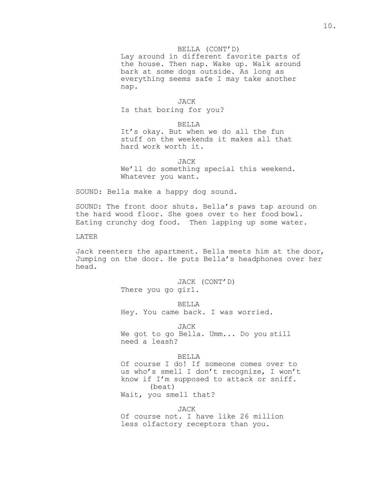## BELLA (CONT'D)

Lay around in different favorite parts of the house. Then nap. Wake up. Walk around bark at some dogs outside. As long as everything seems safe I may take another nap.

#### JACK

Is that boring for you?

### BELLA

It's okay. But when we do all the fun stuff on the weekends it makes all that hard work worth it.

JACK We'll do something special this weekend. Whatever you want.

SOUND: Bella make a happy dog sound.

SOUND: The front door shuts. Bella's paws tap around on the hard wood floor. She goes over to her food bowl. Eating crunchy dog food. Then lapping up some water.

LATER

Jack reenters the apartment. Bella meets him at the door, Jumping on the door. He puts Bella's headphones over her head.

> JACK (CONT'D) There you go girl.

> > BELLA

Hey. You came back. I was worried.

JACK We got to go Bella. Umm... Do you still need a leash?

### BELLA

Of course I do! If someone comes over to us who's smell I don't recognize, I won't know if I'm supposed to attack or sniff. (beat) Wait, you smell that?

JACK

Of course not. I have like 26 million less olfactory receptors than you.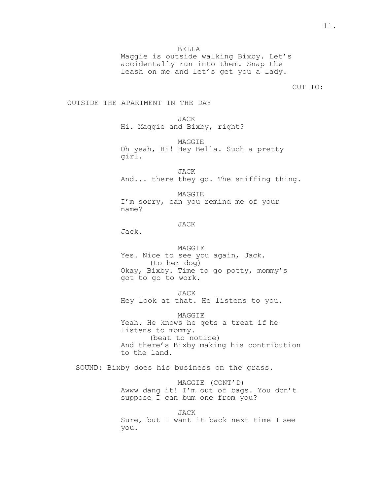BELLA

Maggie is outside walking Bixby. Let's accidentally run into them. Snap the leash on me and let's get you a lady.

CUT TO:

OUTSIDE THE APARTMENT IN THE DAY

JACK

Hi. Maggie and Bixby, right?

MAGGIE

Oh yeah, Hi! Hey Bella. Such a pretty girl.

JACK And... there they go. The sniffing thing.

MAGGIE I'm sorry, can you remind me of your name?

## JACK

Jack.

## MAGGIE

Yes. Nice to see you again, Jack. (to her dog) Okay, Bixby. Time to go potty, mommy's got to go to work.

JACK Hey look at that. He listens to you.

MAGGIE Yeah. He knows he gets a treat if he listens to mommy. (beat to notice) And there's Bixby making his contribution to the land.

SOUND: Bixby does his business on the grass.

## MAGGIE (CONT'D)

Awww dang it! I'm out of bags. You don't suppose I can bum one from you?

## JACK

Sure, but I want it back next time I see you.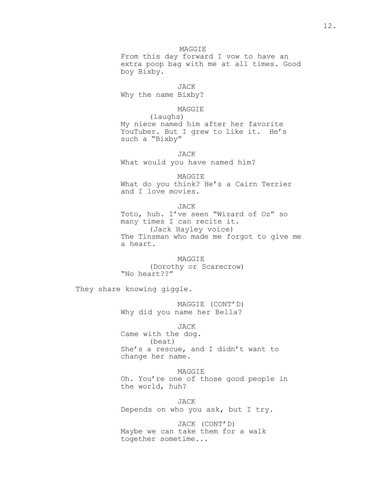MAGGIE From this day forward I vow to have an extra poop bag with me at all times. Good boy Bixby.

JACK

Why the name Bixby?

## MAGGIE

(laughs) My niece named him after her favorite YouTuber. But I grew to like it. He's such a "Bixby"

JACK What would you have named him?

MAGGIE What do you think? He's a Cairn Terrier and I love movies.

JACK Toto, huh. I've seen "Wizard of Oz" so many times I can recite it. (Jack Hayley voice) The Tinsman who made me forgot to give me a heart.

MAGGIE (Dorothy or Scarecrow) "No heart??"

They share knowing giggle.

MAGGIE (CONT'D) Why did you name her Bella?

JACK

Came with the dog. (beat) She's a rescue, and I didn't want to change her name.

MAGGIE

Oh. You're one of those good people in the world, huh?

JACK

Depends on who you ask, but I try.

JACK (CONT'D) Maybe we can take them for a walk together sometime...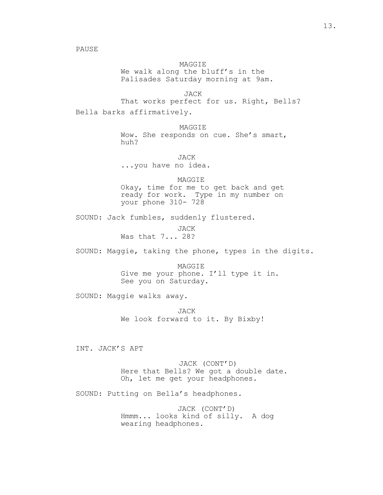PAUSE

MAGGIE We walk along the bluff's in the Palisades Saturday morning at 9am.

JACK That works perfect for us. Right, Bells? Bella barks affirmatively.

> MAGGIE Wow. She responds on cue. She's smart, huh?

> > JACK

...you have no idea.

MAGGIE

Okay, time for me to get back and get ready for work. Type in my number on your phone 310- 728

SOUND: Jack fumbles, suddenly flustered.

JACK Was that 7... 28?

SOUND: Maggie, taking the phone, types in the digits.

MAGGIE Give me your phone. I'll type it in. See you on Saturday.

SOUND: Maggie walks away.

JACK We look forward to it. By Bixby!

INT. JACK'S APT

JACK (CONT'D) Here that Bells? We got a double date. Oh, let me get your headphones.

SOUND: Putting on Bella's headphones.

JACK (CONT'D) Hmmm... looks kind of silly. A dog wearing headphones.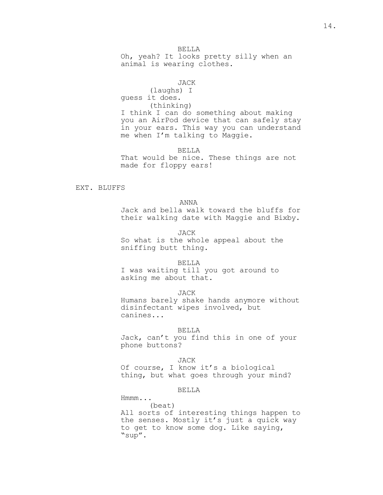BELLA

Oh, yeah? It looks pretty silly when an animal is wearing clothes.

## JACK

(laughs) I guess it does. (thinking) I think I can do something about making you an AirPod device that can safely stay in your ears. This way you can understand me when I'm talking to Maggie.

BELLA

That would be nice. These things are not made for floppy ears!

EXT. BLUFFS

## ANNA

Jack and bella walk toward the bluffs for their walking date with Maggie and Bixby.

JACK

So what is the whole appeal about the sniffing butt thing.

### BELLA

I was waiting till you got around to asking me about that.

## JACK

Humans barely shake hands anymore without disinfectant wipes involved, but canines...

### BELLA

Jack, can't you find this in one of your phone buttons?

## JACK

Of course, I know it's a biological thing, but what goes through your mind?

## BELLA

Hmmm...

(beat) All sorts of interesting things happen to the senses. Mostly it's just a quick way to get to know some dog. Like saying, "sup".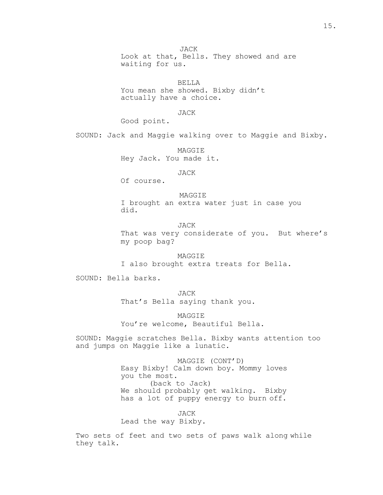JACK Look at that, Bells. They showed and are waiting for us.

BELLA You mean she showed. Bixby didn't actually have a choice.

JACK

Good point.

SOUND: Jack and Maggie walking over to Maggie and Bixby.

MAGGIE Hey Jack. You made it.

JACK

Of course.

MAGGIE I brought an extra water just in case you did.

JACK

That was very considerate of you. But where's my poop bag?

MAGGIE I also brought extra treats for Bella.

SOUND: Bella barks.

JACK That's Bella saying thank you.

MAGGIE You're welcome, Beautiful Bella.

SOUND: Maggie scratches Bella. Bixby wants attention too and jumps on Maggie like a lunatic.

> MAGGIE (CONT'D) Easy Bixby! Calm down boy. Mommy loves you the most. (back to Jack) We should probably get walking. Bixby has a lot of puppy energy to burn off.

> > JACK

Lead the way Bixby.

Two sets of feet and two sets of paws walk along while they talk.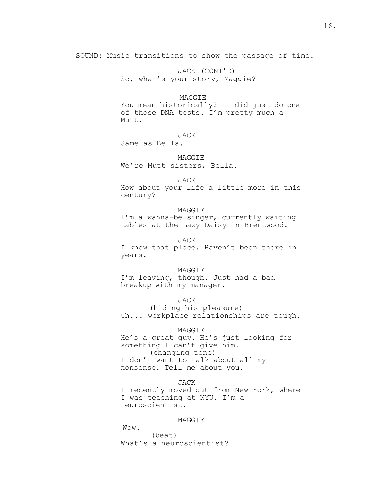SOUND: Music transitions to show the passage of time.

JACK (CONT'D) So, what's your story, Maggie?

## **MAGGTE**

You mean historically? I did just do one of those DNA tests. I'm pretty much a Mutt.

## JACK

Same as Bella.

## MAGGIE

We're Mutt sisters, Bella.

### JACK

How about your life a little more in this century?

#### MAGGIE

I'm a wanna-be singer, currently waiting tables at the Lazy Daisy in Brentwood.

### JACK

I know that place. Haven't been there in years.

### MAGGIE

I'm leaving, though. Just had a bad breakup with my manager.

## JACK

(hiding his pleasure) Uh... workplace relationships are tough.

## MAGGIE

He's a great guy. He's just looking for something I can't give him. (changing tone) I don't want to talk about all my nonsense. Tell me about you.

### JACK

I recently moved out from New York, where I was teaching at NYU. I'm a neuroscientist.

### MAGGIE

Wow. (beat) What's a neuroscientist?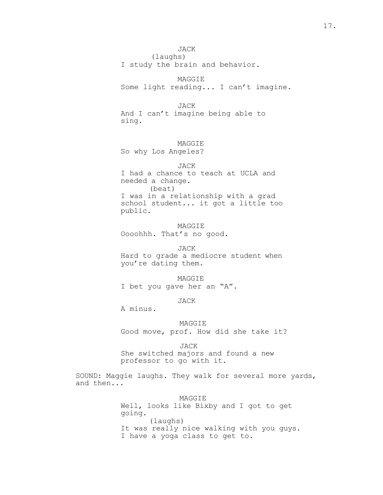## JACK

(laughs) I study the brain and behavior.

MAGGIE Some light reading... I can't imagine.

JACK And I can't imagine being able to sing.

## MAGGIE

So why Los Angeles?

JACK I had a chance to teach at UCLA and needed a change. (beat) I was in a relationship with a grad school student... it got a little too public.

MAGGIE Oooohhh. That's no good.

JACK Hard to grade a mediocre student when you're dating them.

## MAGGIE

I bet you gave her an "A".

## JACK

A minus.

## MAGGIE

Good move, prof. How did she take it?

#### JACK

She switched majors and found a new professor to go with it.

SOUND: Maggie laughs. They walk for several more yards, and then...

### MAGGIE

Well, looks like Bixby and I got to get going. (laughs) It was really nice walking with you guys. I have a yoga class to get to.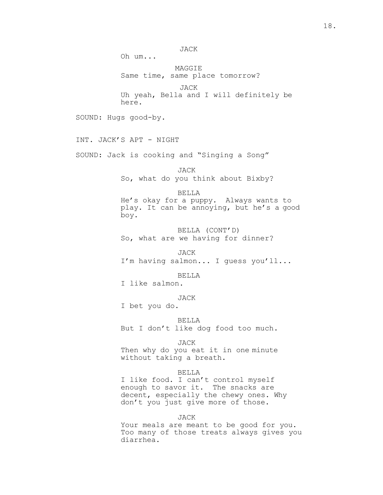JACK

Oh um...

MAGGIE Same time, same place tomorrow?

JACK

Uh yeah, Bella and I will definitely be here.

SOUND: Hugs good-by.

INT. JACK'S APT - NIGHT

SOUND: Jack is cooking and "Singing a Song"

JACK So, what do you think about Bixby?

BELLA

He's okay for a puppy. Always wants to play. It can be annoying, but he's a good boy.

BELLA (CONT'D) So, what are we having for dinner?

JACK I'm having salmon... I guess you'll...

BELLA

I like salmon.

JACK

I bet you do.

BELLA

But I don't like dog food too much.

JACK

Then why do you eat it in one minute without taking a breath.

## BELLA

I like food. I can't control myself enough to savor it. The snacks are decent, especially the chewy ones. Why don't you just give more of those.

### JACK

Your meals are meant to be good for you. Too many of those treats always gives you diarrhea.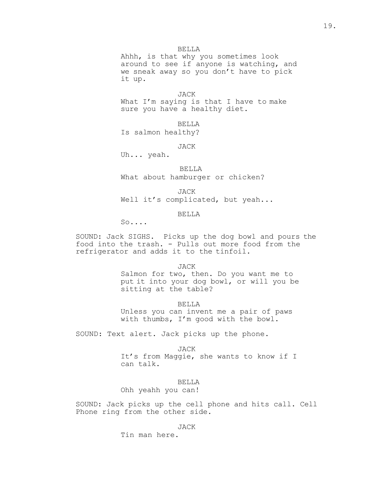Ahhh, is that why you sometimes look around to see if anyone is watching, and we sneak away so you don't have to pick it up.

JACK What I'm saying is that I have to make sure you have a healthy diet.

BELLA Is salmon healthy?

JACK

Uh... yeah.

BELLA

What about hamburger or chicken?

JACK

Well it's complicated, but yeah...

BELLA

 $S_0 \ldots$ 

SOUND: Jack SIGHS. Picks up the dog bowl and pours the food into the trash. - Pulls out more food from the refrigerator and adds it to the tinfoil.

JACK

Salmon for two, then. Do you want me to put it into your dog bowl, or will you be sitting at the table?

BELLA

Unless you can invent me a pair of paws with thumbs, I'm good with the bowl.

SOUND: Text alert. Jack picks up the phone.

JACK It's from Maggie, she wants to know if I can talk.

BELLA

Ohh yeahh you can!

SOUND: Jack picks up the cell phone and hits call. Cell Phone ring from the other side.

JACK

Tin man here.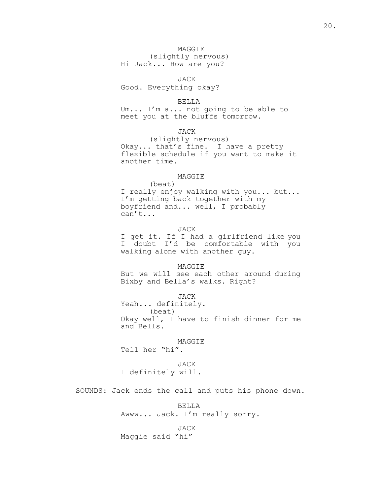## MAGGIE

(slightly nervous) Hi Jack... How are you?

JACK Good. Everything okay?

BELLA Um... I'm a... not going to be able to meet you at the bluffs tomorrow.

JACK

(slightly nervous) Okay... that's fine. I have a pretty flexible schedule if you want to make it another time.

## MAGGIE

(beat) I really enjoy walking with you... but... I'm getting back together with my boyfriend and... well, I probably can't...

JACK

I get it. If I had a girlfriend like you I doubt I'd be comfortable with you walking alone with another guy.

MAGGIE

But we will see each other around during Bixby and Bella's walks. Right?

JACK

Yeah... definitely. (beat) Okay well, I have to finish dinner for me and Bells.

#### MAGGIE

Tell her "hi".

JACK

I definitely will.

SOUNDS: Jack ends the call and puts his phone down.

BELLA Awww... Jack. I'm really sorry.

JACK

Maggie said "hi"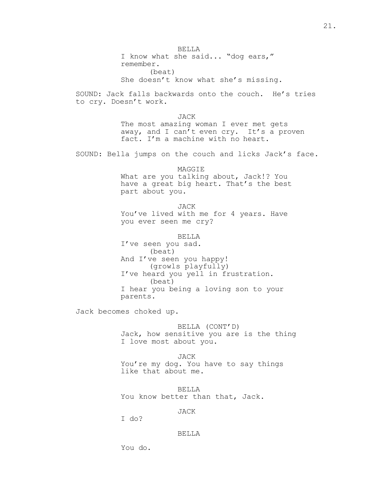BELLA I know what she said... "dog ears," remember. (beat) She doesn't know what she's missing. SOUND: Jack falls backwards onto the couch. He's tries to cry. Doesn't work. JACK The most amazing woman I ever met gets away, and I can't even cry. It's a proven fact. I'm a machine with no heart. SOUND: Bella jumps on the couch and licks Jack's face. MAGGIE What are you talking about, Jack!? You have a great big heart. That's the best part about you. JACK You've lived with me for 4 years. Have you ever seen me cry? BELLA I've seen you sad. (beat) And I've seen you happy! (growls playfully) I've heard you yell in frustration. (beat) I hear you being a loving son to your parents. Jack becomes choked up. BELLA (CONT'D) Jack, how sensitive you are is the thing I love most about you. JACK You're my dog. You have to say things like that about me.

> BELLA You know better than that, Jack.

> > JACK

I do?

### BELLA

You do.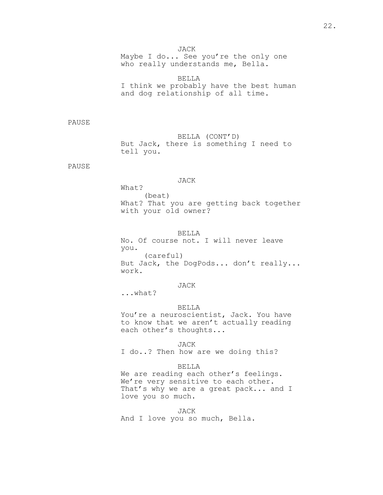Maybe I do... See you're the only one who really understands me, Bella.

BELLA I think we probably have the best human and dog relationship of all time.

PAUSE

BELLA (CONT'D) But Jack, there is something I need to tell you.

PAUSE

## JACK

What? (beat) What? That you are getting back together with your old owner?

## BELLA

No. Of course not. I will never leave you. (careful) But Jack, the DogPods... don't really... work.

## JACK

...what?

### BELLA

You're a neuroscientist, Jack. You have to know that we aren't actually reading each other's thoughts...

JACK

I do..? Then how are we doing this?

### BELLA

We are reading each other's feelings. We're very sensitive to each other. That's why we are a great pack... and I love you so much.

JACK

And I love you so much, Bella.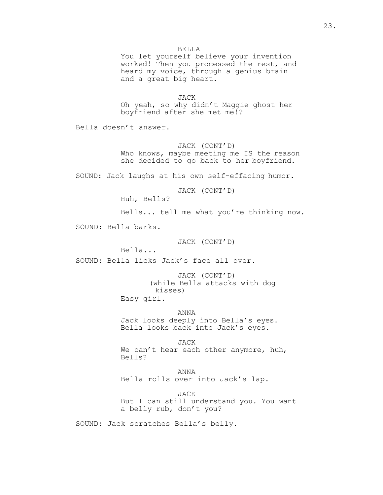You let yourself believe your invention worked! Then you processed the rest, and heard my voice, through a genius brain and a great big heart.

JACK

Oh yeah, so why didn't Maggie ghost her boyfriend after she met me!?

Bella doesn't answer.

JACK (CONT'D)

Who knows, maybe meeting me IS the reason she decided to go back to her boyfriend.

SOUND: Jack laughs at his own self-effacing humor.

JACK (CONT'D)

Huh, Bells?

Bells... tell me what you're thinking now.

SOUND: Bella barks.

JACK (CONT'D)

Bella...

SOUND: Bella licks Jack's face all over.

JACK (CONT'D) (while Bella attacks with dog kisses)

Easy girl.

ANNA Jack looks deeply into Bella's eyes. Bella looks back into Jack's eyes.

JACK We can't hear each other anymore, huh, Bells?

ANNA Bella rolls over into Jack's lap.

JACK But I can still understand you. You want a belly rub, don't you?

SOUND: Jack scratches Bella's belly.